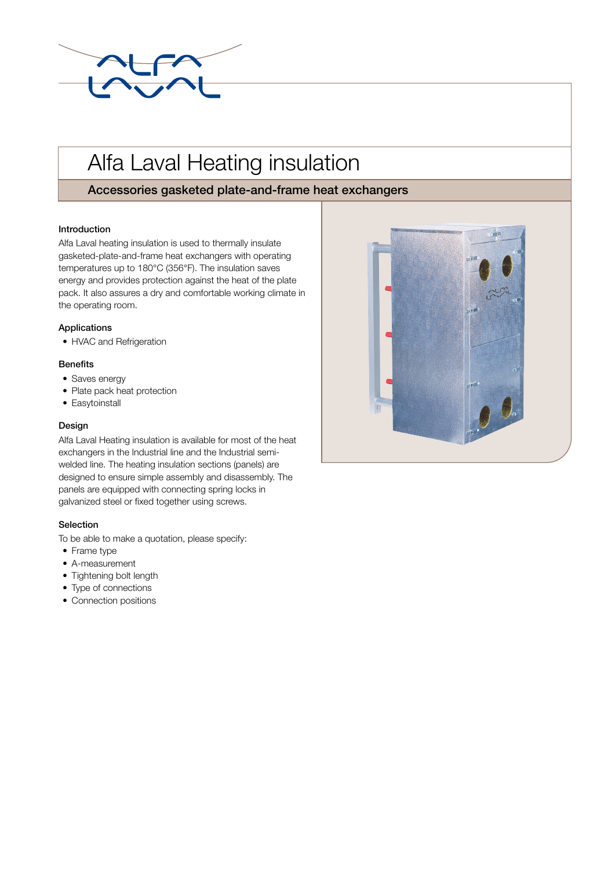

# Alfa Laval Heating insulation

# Accessories gasketed plate-and-frame heat exchangers

## Introduction

Alfa Laval heating insulation is used to thermally insulate gasketed-plate-and-frame heat exchangers with operating temperatures up to 180°C (356°F). The insulation saves energy and provides protection against the heat of the plate pack. It also assures a dry and comfortable working climate in the operating room.

## Applications

• HVAC and Refrigeration

#### **Benefits**

- Saves energy
- Plate pack heat protection
- Easytoinstall

#### Design

Alfa Laval Heating insulation is available for most of the heat exchangers in the Industrial line and the Industrial semiwelded line. The heating insulation sections (panels) are designed to ensure simple assembly and disassembly. The panels are equipped with connecting spring locks in galvanized steel or fixed together using screws.

#### Selection

To be able to make a quotation, please specify:

- Frame type
- A-measurement
- Tightening bolt length
- Type of connections
- Connection positions